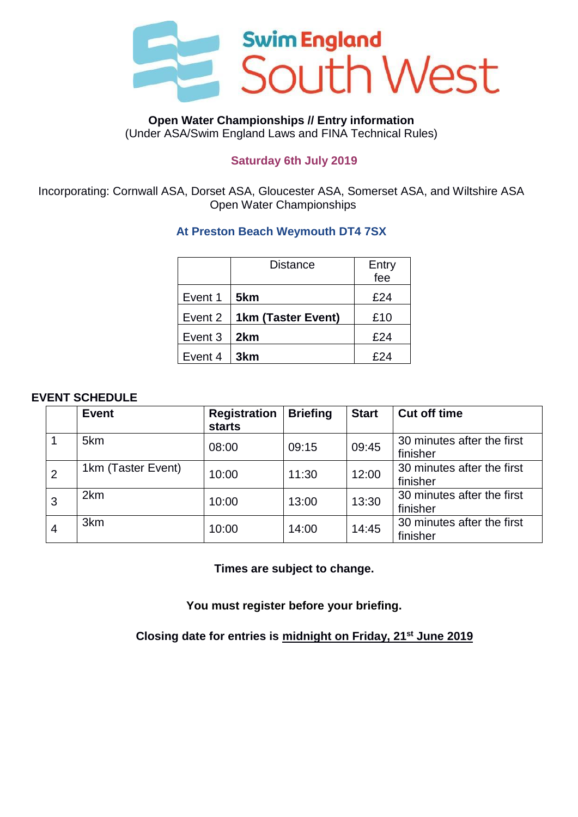

#### **Open Water Championships // Entry information** (Under ASA/Swim England Laws and FINA Technical Rules)

## **Saturday 6th July 2019**

Incorporating: Cornwall ASA, Dorset ASA, Gloucester ASA, Somerset ASA, and Wiltshire ASA Open Water Championships

# **At Preston Beach Weymouth DT4 7SX**

|         | Distance           | Entry<br>fee |
|---------|--------------------|--------------|
| Event 1 | 5km                | £24          |
| Event 2 | 1km (Taster Event) | £10          |
| Event 3 | 2km                | £24          |
| Event 4 | 3km                | F24          |

### **EVENT SCHEDULE**

|                | <b>Event</b>       | <b>Registration</b><br><b>starts</b> | <b>Briefing</b> | <b>Start</b> | <b>Cut off time</b>                    |
|----------------|--------------------|--------------------------------------|-----------------|--------------|----------------------------------------|
|                | 5km                | 08:00                                | 09:15           | 09:45        | 30 minutes after the first<br>finisher |
| $\overline{2}$ | 1km (Taster Event) | 10:00                                | 11:30           | 12:00        | 30 minutes after the first<br>finisher |
| 3              | 2km                | 10:00                                | 13:00           | 13:30        | 30 minutes after the first<br>finisher |
| 4              | 3km                | 10:00                                | 14:00           | 14:45        | 30 minutes after the first<br>finisher |

**Times are subject to change.**

**You must register before your briefing.**

**Closing date for entries is midnight on Friday, 21 st June 2019**